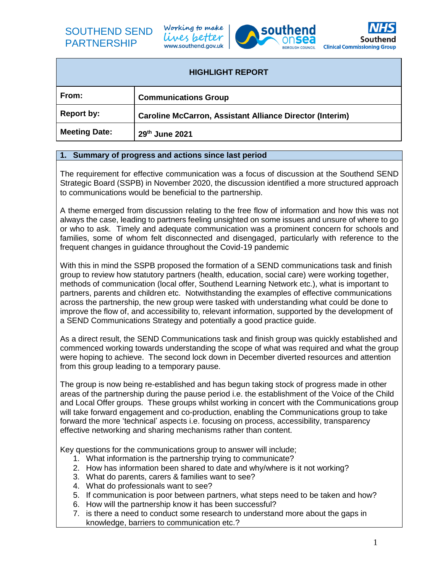## SOUTHEND SEND PARTNERSHIP

Working to make lives better www.southend.gov.uk





| <b>HIGHLIGHT REPORT</b> |                                                                 |  |
|-------------------------|-----------------------------------------------------------------|--|
| From:                   | <b>Communications Group</b>                                     |  |
| <b>Report by:</b>       | <b>Caroline McCarron, Assistant Alliance Director (Interim)</b> |  |
| <b>Meeting Date:</b>    | 29th June 2021                                                  |  |

## **1. Summary of progress and actions since last period**

The requirement for effective communication was a focus of discussion at the Southend SEND Strategic Board (SSPB) in November 2020, the discussion identified a more structured approach to communications would be beneficial to the partnership.

A theme emerged from discussion relating to the free flow of information and how this was not always the case, leading to partners feeling unsighted on some issues and unsure of where to go or who to ask. Timely and adequate communication was a prominent concern for schools and families, some of whom felt disconnected and disengaged, particularly with reference to the frequent changes in guidance throughout the Covid-19 pandemic

With this in mind the SSPB proposed the formation of a SEND communications task and finish group to review how statutory partners (health, education, social care) were working together, methods of communication (local offer, Southend Learning Network etc.), what is important to partners, parents and children etc. Notwithstanding the examples of effective communications across the partnership, the new group were tasked with understanding what could be done to improve the flow of, and accessibility to, relevant information, supported by the development of a SEND Communications Strategy and potentially a good practice guide.

As a direct result, the SEND Communications task and finish group was quickly established and commenced working towards understanding the scope of what was required and what the group were hoping to achieve. The second lock down in December diverted resources and attention from this group leading to a temporary pause.

The group is now being re-established and has begun taking stock of progress made in other areas of the partnership during the pause period i.e. the establishment of the Voice of the Child and Local Offer groups. These groups whilst working in concert with the Communications group will take forward engagement and co-production, enabling the Communications group to take forward the more 'technical' aspects i.e. focusing on process, accessibility, transparency effective networking and sharing mechanisms rather than content.

Key questions for the communications group to answer will include;

- 1. What information is the partnership trying to communicate?
- 2. How has information been shared to date and why/where is it not working?
- 3. What do parents, carers & families want to see?
- 4. What do professionals want to see?
- 5. If communication is poor between partners, what steps need to be taken and how?
- 6. How will the partnership know it has been successful?
- 7. is there a need to conduct some research to understand more about the gaps in knowledge, barriers to communication etc.?